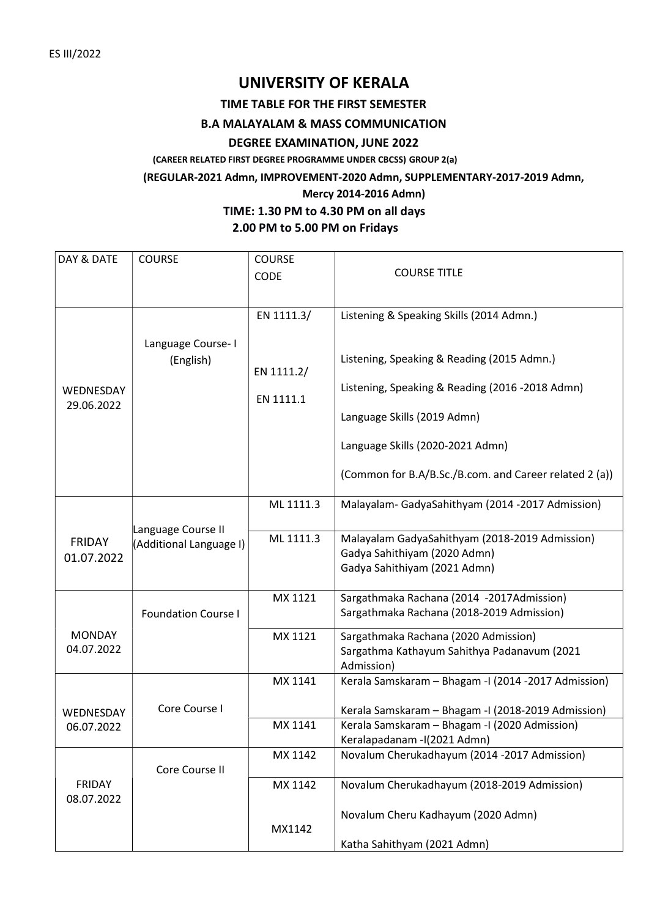# UNIVERSITY OF KERALA

TIME TABLE FOR THE FIRST SEMESTER

## B.A MALAYALAM & MASS COMMUNICATION

# DEGREE EXAMINATION, JUNE 2022

(CAREER RELATED FIRST DEGREE PROGRAMME UNDER CBCSS) GROUP 2(a)

#### (REGULAR-2021 Admn, IMPROVEMENT-2020 Admn, SUPPLEMENTARY-2017-2019 Admn,

## Mercy 2014-2016 Admn)

# TIME: 1.30 PM to 4.30 PM on all days 2.00 PM to 5.00 PM on Fridays

| DAY & DATE    | <b>COURSE</b>              | <b>COURSE</b> |                                                        |
|---------------|----------------------------|---------------|--------------------------------------------------------|
|               |                            | <b>CODE</b>   | <b>COURSE TITLE</b>                                    |
|               |                            |               |                                                        |
|               |                            |               |                                                        |
|               |                            | EN 1111.3/    | Listening & Speaking Skills (2014 Admn.)               |
| WEDNESDAY     |                            |               |                                                        |
|               | Language Course-I          |               |                                                        |
|               | (English)                  | EN 1111.2/    | Listening, Speaking & Reading (2015 Admn.)             |
|               |                            |               | Listening, Speaking & Reading (2016 -2018 Admn)        |
| 29.06.2022    |                            | EN 1111.1     |                                                        |
|               |                            |               | Language Skills (2019 Admn)                            |
|               |                            |               |                                                        |
|               |                            |               | Language Skills (2020-2021 Admn)                       |
|               |                            |               |                                                        |
|               |                            |               | (Common for B.A/B.Sc./B.com. and Career related 2 (a)) |
|               |                            |               |                                                        |
|               |                            | ML 1111.3     | Malayalam-GadyaSahithyam (2014 -2017 Admission)        |
|               | Language Course II         |               |                                                        |
| <b>FRIDAY</b> | (Additional Language I)    | ML 1111.3     | Malayalam GadyaSahithyam (2018-2019 Admission)         |
| 01.07.2022    |                            |               | Gadya Sahithiyam (2020 Admn)                           |
|               |                            |               | Gadya Sahithiyam (2021 Admn)                           |
|               |                            |               |                                                        |
|               |                            | MX 1121       | Sargathmaka Rachana (2014 -2017Admission)              |
|               | <b>Foundation Course I</b> |               | Sargathmaka Rachana (2018-2019 Admission)              |
| <b>MONDAY</b> |                            | MX 1121       | Sargathmaka Rachana (2020 Admission)                   |
| 04.07.2022    |                            |               | Sargathma Kathayum Sahithya Padanavum (2021            |
|               |                            |               | Admission)                                             |
|               |                            | MX 1141       | Kerala Samskaram - Bhagam - I (2014 - 2017 Admission)  |
|               |                            |               |                                                        |
| WEDNESDAY     | Core Course I              |               | Kerala Samskaram - Bhagam - I (2018-2019 Admission)    |
| 06.07.2022    |                            | MX 1141       | Kerala Samskaram - Bhagam - I (2020 Admission)         |
|               |                            |               | Keralapadanam - I(2021 Admn)                           |
|               |                            | MX 1142       | Novalum Cherukadhayum (2014 -2017 Admission)           |
| <b>FRIDAY</b> | Core Course II             | MX 1142       | Novalum Cherukadhayum (2018-2019 Admission)            |
| 08.07.2022    |                            |               |                                                        |
|               |                            |               | Novalum Cheru Kadhayum (2020 Admn)                     |
|               |                            | MX1142        |                                                        |
|               |                            |               | Katha Sahithyam (2021 Admn)                            |